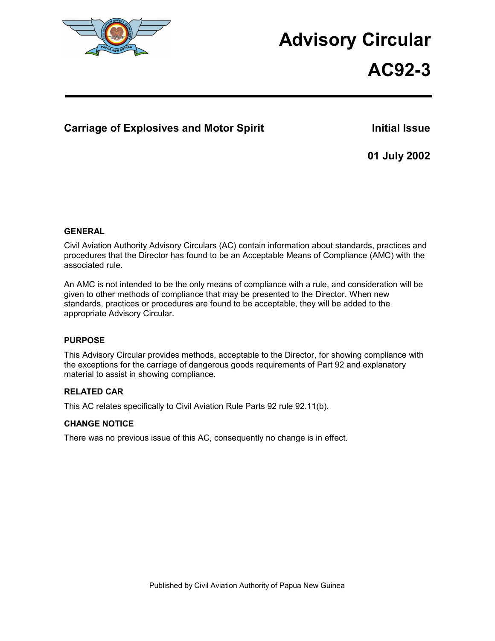

## **Advisory Circular**

# **AC92-3**

## **Carriage of Explosives and Motor Spirit Initial Issue Initial Issue**

**01 July 2002** 

#### **GENERAL**

Civil Aviation Authority Advisory Circulars (AC) contain information about standards, practices and procedures that the Director has found to be an Acceptable Means of Compliance (AMC) with the associated rule.

An AMC is not intended to be the only means of compliance with a rule, and consideration will be given to other methods of compliance that may be presented to the Director. When new standards, practices or procedures are found to be acceptable, they will be added to the appropriate Advisory Circular.

#### **PURPOSE**

This Advisory Circular provides methods, acceptable to the Director, for showing compliance with the exceptions for the carriage of dangerous goods requirements of Part 92 and explanatory material to assist in showing compliance.

#### **RELATED CAR**

This AC relates specifically to Civil Aviation Rule Parts 92 rule 92.11(b).

#### **CHANGE NOTICE**

There was no previous issue of this AC, consequently no change is in effect.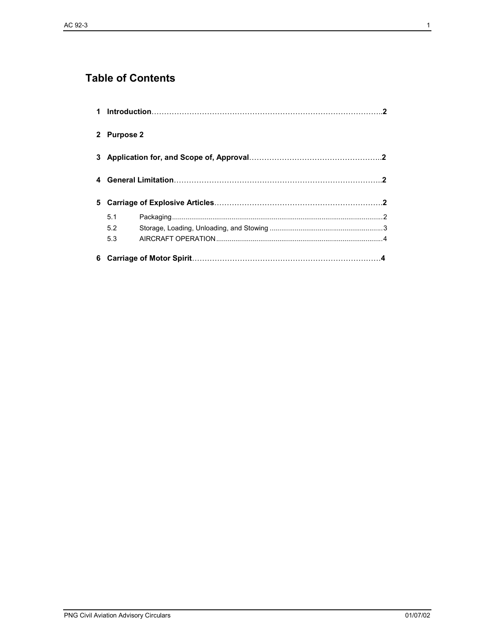## **Table of Contents**

| 2 Purpose 2 |  |  |
|-------------|--|--|
|             |  |  |
|             |  |  |
|             |  |  |
| 5.1         |  |  |
| 5.2         |  |  |
| 5.3         |  |  |
|             |  |  |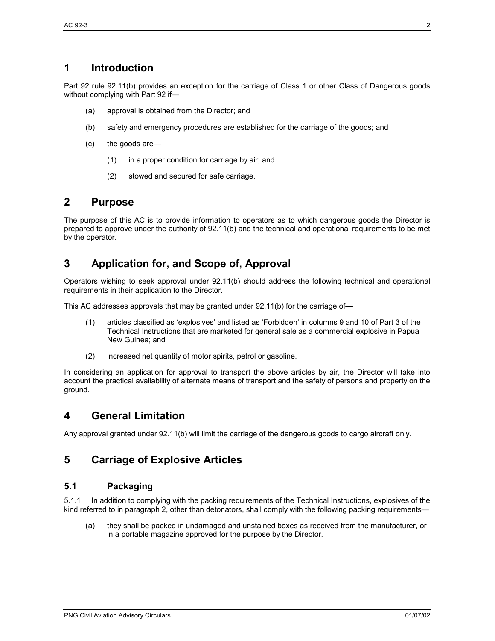## **1 Introduction**

Part 92 rule 92.11(b) provides an exception for the carriage of Class 1 or other Class of Dangerous goods without complying with Part 92 if—

- (a) approval is obtained from the Director; and
- (b) safety and emergency procedures are established for the carriage of the goods; and
- (c) the goods are—
	- (1) in a proper condition for carriage by air; and
	- (2) stowed and secured for safe carriage.

## **2 Purpose**

The purpose of this AC is to provide information to operators as to which dangerous goods the Director is prepared to approve under the authority of 92.11(b) and the technical and operational requirements to be met by the operator.

## **3 Application for, and Scope of, Approval**

Operators wishing to seek approval under 92.11(b) should address the following technical and operational requirements in their application to the Director.

This AC addresses approvals that may be granted under 92.11(b) for the carriage of—

- (1) articles classified as 'explosives' and listed as 'Forbidden' in columns 9 and 10 of Part 3 of the Technical Instructions that are marketed for general sale as a commercial explosive in Papua New Guinea; and
- (2) increased net quantity of motor spirits, petrol or gasoline.

In considering an application for approval to transport the above articles by air, the Director will take into account the practical availability of alternate means of transport and the safety of persons and property on the ground.

### **4 General Limitation**

Any approval granted under 92.11(b) will limit the carriage of the dangerous goods to cargo aircraft only.

## **5 Carriage of Explosive Articles**

#### **5.1 Packaging**

5.1.1 In addition to complying with the packing requirements of the Technical Instructions, explosives of the kind referred to in paragraph 2, other than detonators, shall comply with the following packing requirements—

(a) they shall be packed in undamaged and unstained boxes as received from the manufacturer, or in a portable magazine approved for the purpose by the Director.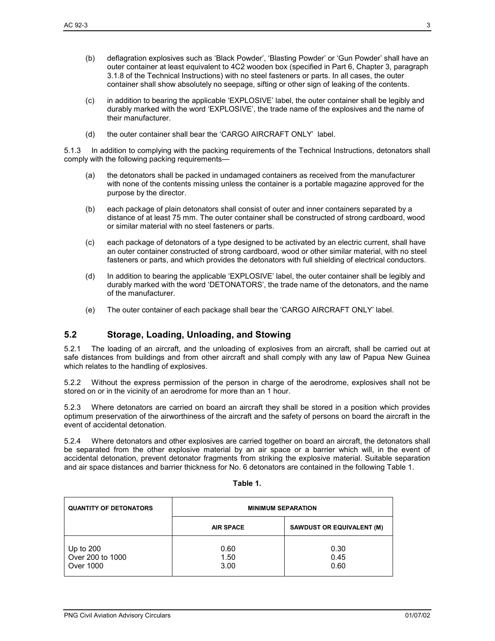- (b) deflagration explosives such as 'Black Powder', 'Blasting Powder' or 'Gun Powder' shall have an outer container at least equivalent to 4C2 wooden box (specified in Part 6, Chapter 3, paragraph 3.1.8 of the Technical Instructions) with no steel fasteners or parts. In all cases, the outer container shall show absolutely no seepage, sifting or other sign of leaking of the contents.
- (c) in addition to bearing the applicable 'EXPLOSIVE' label, the outer container shall be legibly and durably marked with the word 'EXPLOSIVE', the trade name of the explosives and the name of their manufacturer.
- (d) the outer container shall bear the 'CARGO AIRCRAFT ONLY' label.

5.1.3 In addition to complying with the packing requirements of the Technical Instructions, detonators shall comply with the following packing requirements—

- (a) the detonators shall be packed in undamaged containers as received from the manufacturer with none of the contents missing unless the container is a portable magazine approved for the purpose by the director.
- (b) each package of plain detonators shall consist of outer and inner containers separated by a distance of at least 75 mm. The outer container shall be constructed of strong cardboard, wood or similar material with no steel fasteners or parts.
- (c) each package of detonators of a type designed to be activated by an electric current, shall have an outer container constructed of strong cardboard, wood or other similar material, with no steel fasteners or parts, and which provides the detonators with full shielding of electrical conductors.
- (d) In addition to bearing the applicable 'EXPLOSIVE' label, the outer container shall be legibly and durably marked with the word 'DETONATORS', the trade name of the detonators, and the name of the manufacturer.
- (e) The outer container of each package shall bear the 'CARGO AIRCRAFT ONLY' label.

#### **5.2 Storage, Loading, Unloading, and Stowing**

5.2.1 The loading of an aircraft, and the unloading of explosives from an aircraft, shall be carried out at safe distances from buildings and from other aircraft and shall comply with any law of Papua New Guinea which relates to the handling of explosives.

5.2.2 Without the express permission of the person in charge of the aerodrome, explosives shall not be stored on or in the vicinity of an aerodrome for more than an 1 hour.

5.2.3 Where detonators are carried on board an aircraft they shall be stored in a position which provides optimum preservation of the airworthiness of the aircraft and the safety of persons on board the aircraft in the event of accidental detonation.

5.2.4 Where detonators and other explosives are carried together on board an aircraft, the detonators shall be separated from the other explosive material by an air space or a barrier which will, in the event of accidental detonation, prevent detonator fragments from striking the explosive material. Suitable separation and air space distances and barrier thickness for No. 6 detonators are contained in the following Table 1.

#### **Table 1.**

| <b>QUANTITY OF DETONATORS</b>                | <b>MINIMUM SEPARATION</b> |                                  |  |
|----------------------------------------------|---------------------------|----------------------------------|--|
|                                              | <b>AIR SPACE</b>          | <b>SAWDUST OR EQUIVALENT (M)</b> |  |
| Up to $200$<br>Over 200 to 1000<br>Over 1000 | 0.60<br>1.50<br>3.00      | 0.30<br>0.45<br>0.60             |  |